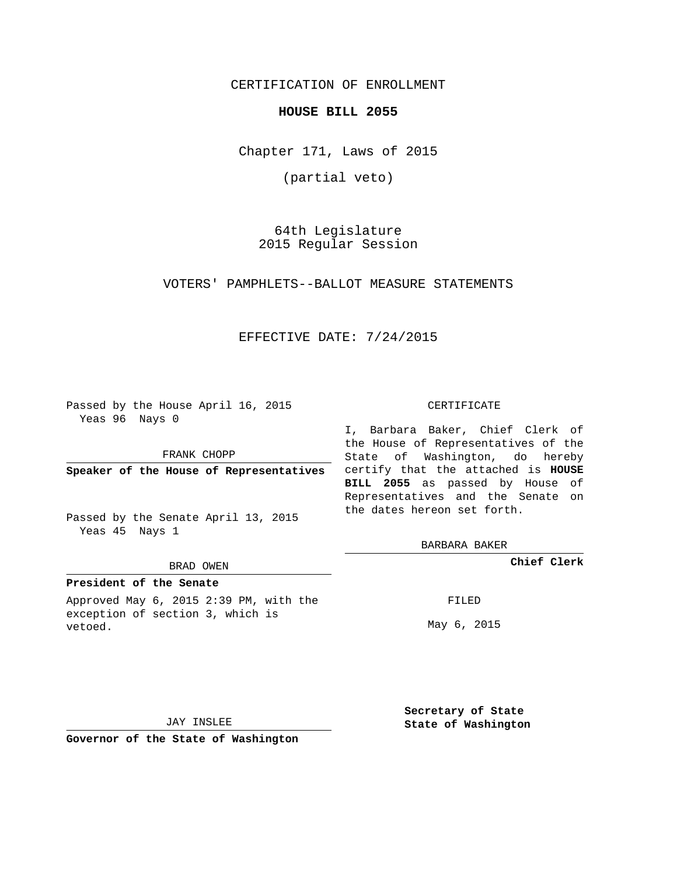CERTIFICATION OF ENROLLMENT

### **HOUSE BILL 2055**

Chapter 171, Laws of 2015

(partial veto)

64th Legislature 2015 Regular Session

VOTERS' PAMPHLETS--BALLOT MEASURE STATEMENTS

### EFFECTIVE DATE: 7/24/2015

Passed by the House April 16, 2015 Yeas 96 Nays 0

FRANK CHOPP

**Speaker of the House of Representatives**

Passed by the Senate April 13, 2015 Yeas 45 Nays 1

#### BRAD OWEN

### **President of the Senate**

Approved May 6, 2015 2:39 PM, with the exception of section 3, which is vetoed.

CERTIFICATE

I, Barbara Baker, Chief Clerk of the House of Representatives of the State of Washington, do hereby certify that the attached is **HOUSE BILL 2055** as passed by House of Representatives and the Senate on the dates hereon set forth.

BARBARA BAKER

**Chief Clerk**

FILED

May 6, 2015

JAY INSLEE

**Governor of the State of Washington**

**Secretary of State State of Washington**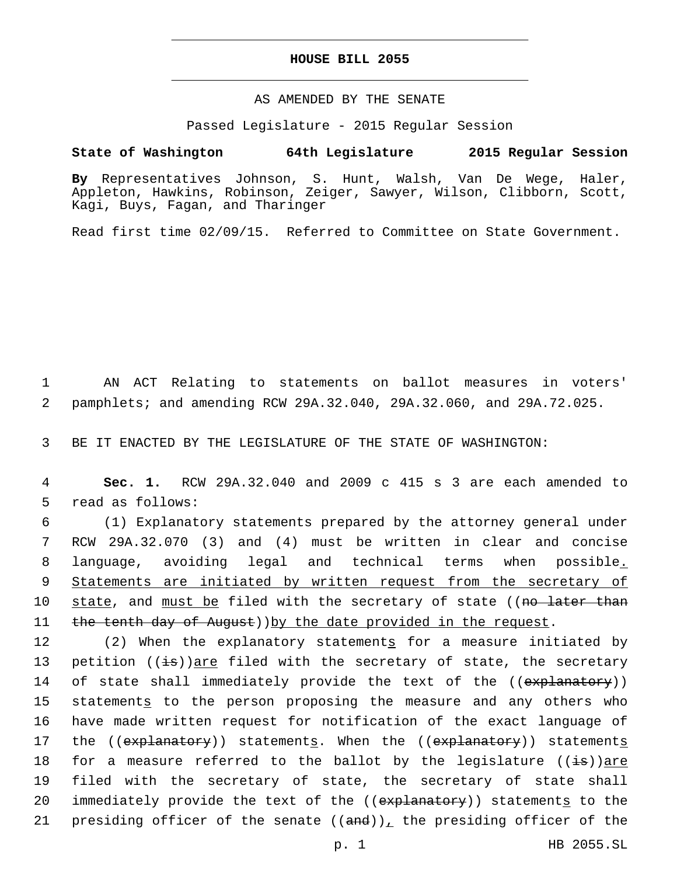### **HOUSE BILL 2055**

## AS AMENDED BY THE SENATE

Passed Legislature - 2015 Regular Session

# **State of Washington 64th Legislature 2015 Regular Session**

**By** Representatives Johnson, S. Hunt, Walsh, Van De Wege, Haler, Appleton, Hawkins, Robinson, Zeiger, Sawyer, Wilson, Clibborn, Scott, Kagi, Buys, Fagan, and Tharinger

Read first time 02/09/15. Referred to Committee on State Government.

1 AN ACT Relating to statements on ballot measures in voters' 2 pamphlets; and amending RCW 29A.32.040, 29A.32.060, and 29A.72.025.

3 BE IT ENACTED BY THE LEGISLATURE OF THE STATE OF WASHINGTON:

4 **Sec. 1.** RCW 29A.32.040 and 2009 c 415 s 3 are each amended to 5 read as follows:

 (1) Explanatory statements prepared by the attorney general under RCW 29A.32.070 (3) and (4) must be written in clear and concise language, avoiding legal and technical terms when possible. Statements are initiated by written request from the secretary of 10 state, and must be filed with the secretary of state ((no later than 11 the tenth day of August)) by the date provided in the request.

12 (2) When the explanatory statements for a measure initiated by 13 petition  $((\pm s))$  are filed with the secretary of state, the secretary 14 of state shall immediately provide the text of the ((explanatory)) 15 statements to the person proposing the measure and any others who 16 have made written request for notification of the exact language of 17 the ((explanatory)) statements. When the ((explanatory)) statements 18 for a measure referred to the ballot by the legislature  $((\pm s))$ are 19 filed with the secretary of state, the secretary of state shall 20 immediately provide the text of the ((explanatory)) statements to the 21 presiding officer of the senate  $((and))_{\perp}$  the presiding officer of the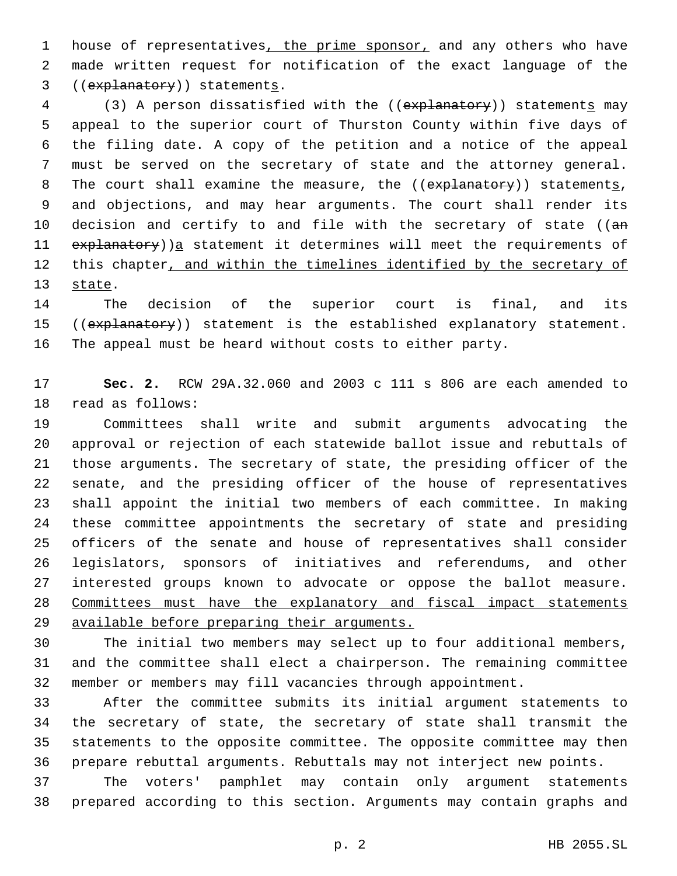1 house of representatives, the prime sponsor, and any others who have made written request for notification of the exact language of the 3 ((explanatory)) statements.

4 (3) A person dissatisfied with the ((explanatory)) statements may appeal to the superior court of Thurston County within five days of the filing date. A copy of the petition and a notice of the appeal must be served on the secretary of state and the attorney general. 8 The court shall examine the measure, the ((explanatory)) statements, and objections, and may hear arguments. The court shall render its 10 decision and certify to and file with the secretary of state ((an explanatory))a statement it determines will meet the requirements of this chapter, and within the timelines identified by the secretary of 13 state.

 The decision of the superior court is final, and its 15 ((explanatory)) statement is the established explanatory statement. The appeal must be heard without costs to either party.

 **Sec. 2.** RCW 29A.32.060 and 2003 c 111 s 806 are each amended to 18 read as follows:

 Committees shall write and submit arguments advocating the approval or rejection of each statewide ballot issue and rebuttals of those arguments. The secretary of state, the presiding officer of the senate, and the presiding officer of the house of representatives shall appoint the initial two members of each committee. In making these committee appointments the secretary of state and presiding officers of the senate and house of representatives shall consider legislators, sponsors of initiatives and referendums, and other interested groups known to advocate or oppose the ballot measure. Committees must have the explanatory and fiscal impact statements available before preparing their arguments.

 The initial two members may select up to four additional members, and the committee shall elect a chairperson. The remaining committee member or members may fill vacancies through appointment.

 After the committee submits its initial argument statements to the secretary of state, the secretary of state shall transmit the statements to the opposite committee. The opposite committee may then prepare rebuttal arguments. Rebuttals may not interject new points.

 The voters' pamphlet may contain only argument statements prepared according to this section. Arguments may contain graphs and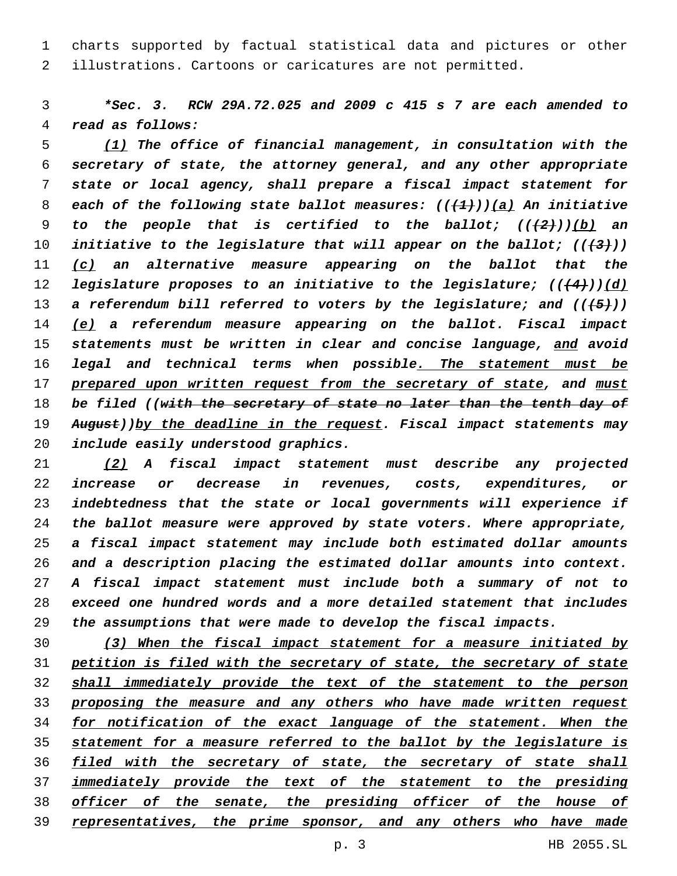charts supported by factual statistical data and pictures or other illustrations. Cartoons or caricatures are not permitted.

 *\*Sec. 3. RCW 29A.72.025 and 2009 c 415 s 7 are each amended to read as follows:*

 *(1) The office of financial management, in consultation with the secretary of state, the attorney general, and any other appropriate state or local agency, shall prepare a fiscal impact statement for each of the following state ballot measures: (((1)))(a) An initiative to the people that is certified to the ballot; (((2)))(b) an initiative to the legislature that will appear on the ballot; (((3))) (c) an alternative measure appearing on the ballot that the legislature proposes to an initiative to the legislature; (((4)))(d) a referendum bill referred to voters by the legislature; and (((5))) (e) a referendum measure appearing on the ballot. Fiscal impact statements must be written in clear and concise language, and avoid legal and technical terms when possible. The statement must be prepared upon written request from the secretary of state, and must be filed ((with the secretary of state no later than the tenth day of August))by the deadline in the request. Fiscal impact statements may include easily understood graphics.*

 *(2) A fiscal impact statement must describe any projected increase or decrease in revenues, costs, expenditures, or indebtedness that the state or local governments will experience if the ballot measure were approved by state voters. Where appropriate, a fiscal impact statement may include both estimated dollar amounts and a description placing the estimated dollar amounts into context. A fiscal impact statement must include both a summary of not to exceed one hundred words and a more detailed statement that includes the assumptions that were made to develop the fiscal impacts.*

 *(3) When the fiscal impact statement for a measure initiated by petition is filed with the secretary of state, the secretary of state shall immediately provide the text of the statement to the person proposing the measure and any others who have made written request for notification of the exact language of the statement. When the statement for a measure referred to the ballot by the legislature is filed with the secretary of state, the secretary of state shall immediately provide the text of the statement to the presiding officer of the senate, the presiding officer of the house of representatives, the prime sponsor, and any others who have made*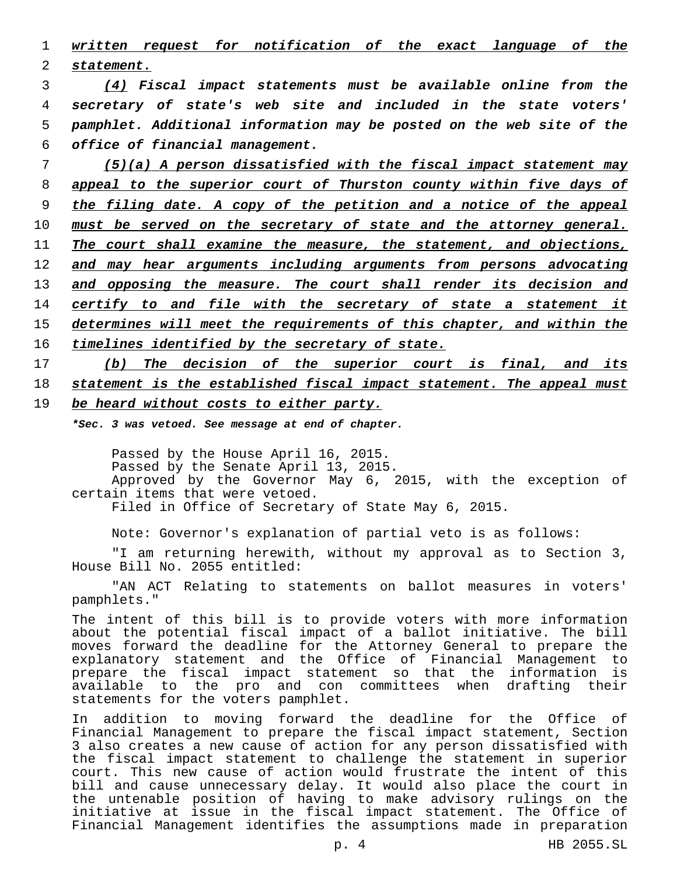|              |  | 1 written request for notification of the exact language of the |  |  |  |
|--------------|--|-----------------------------------------------------------------|--|--|--|
| 2 statement. |  |                                                                 |  |  |  |

 *(4) Fiscal impact statements must be available online from the secretary of state's web site and included in the state voters' pamphlet. Additional information may be posted on the web site of the office of financial management.*

 *(5)(a) A person dissatisfied with the fiscal impact statement may appeal to the superior court of Thurston county within five days of the filing date. A copy of the petition and a notice of the appeal must be served on the secretary of state and the attorney general. The court shall examine the measure, the statement, and objections, and may hear arguments including arguments from persons advocating and opposing the measure. The court shall render its decision and certify to and file with the secretary of state a statement it determines will meet the requirements of this chapter, and within the timelines identified by the secretary of state.*

17 *(b) The decision of the superior court is final, and its* 18 *statement is the established fiscal impact statement. The appeal must* 19 *be heard without costs to either party.*

*\*Sec. 3 was vetoed. See message at end of chapter.*

Passed by the House April 16, 2015. Passed by the Senate April 13, 2015. Approved by the Governor May 6, 2015, with the exception of certain items that were vetoed. Filed in Office of Secretary of State May 6, 2015.

Note: Governor's explanation of partial veto is as follows:

"I am returning herewith, without my approval as to Section 3, House Bill No. 2055 entitled:

"AN ACT Relating to statements on ballot measures in voters' pamphlets."

The intent of this bill is to provide voters with more information about the potential fiscal impact of a ballot initiative. The bill moves forward the deadline for the Attorney General to prepare the explanatory statement and the Office of Financial Management to prepare the fiscal impact statement so that the information is available to the pro and con committees when drafting their statements for the voters pamphlet.

In addition to moving forward the deadline for the Office of Financial Management to prepare the fiscal impact statement, Section 3 also creates a new cause of action for any person dissatisfied with the fiscal impact statement to challenge the statement in superior court. This new cause of action would frustrate the intent of this bill and cause unnecessary delay. It would also place the court in the untenable position of having to make advisory rulings on the initiative at issue in the fiscal impact statement. The Office of Financial Management identifies the assumptions made in preparation